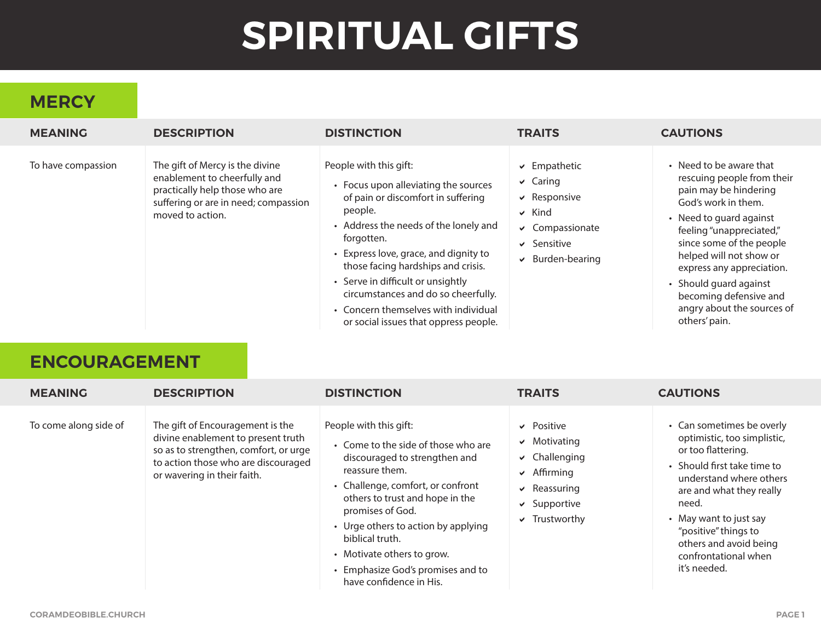# **SPIRITUAL GIFTS**

# **MERCY**

| <b>MEANING</b>     | <b>DESCRIPTION</b>                                                                                                                                            | <b>DISTINCTION</b>                                                                                                                                                                                                                                                                                                                                                                                                 | <b>TRAITS</b>                                                                                                                               | <b>CAUTIONS</b>                                                                                                                                                                                                                                                                                                                                     |
|--------------------|---------------------------------------------------------------------------------------------------------------------------------------------------------------|--------------------------------------------------------------------------------------------------------------------------------------------------------------------------------------------------------------------------------------------------------------------------------------------------------------------------------------------------------------------------------------------------------------------|---------------------------------------------------------------------------------------------------------------------------------------------|-----------------------------------------------------------------------------------------------------------------------------------------------------------------------------------------------------------------------------------------------------------------------------------------------------------------------------------------------------|
| To have compassion | The gift of Mercy is the divine<br>enablement to cheerfully and<br>practically help those who are<br>suffering or are in need; compassion<br>moved to action. | People with this gift:<br>• Focus upon alleviating the sources<br>of pain or discomfort in suffering<br>people.<br>• Address the needs of the lonely and<br>forgotten.<br>• Express love, grace, and dignity to<br>those facing hardships and crisis.<br>• Serve in difficult or unsightly<br>circumstances and do so cheerfully.<br>• Concern themselves with individual<br>or social issues that oppress people. | $\vee$ Empathetic<br>$\vee$ Caring<br>$\vee$ Responsive<br>$\vee$ Kind<br>$\vee$ Compassionate<br>$\vee$ Sensitive<br>$\vee$ Burden-bearing | • Need to be aware that<br>rescuing people from their<br>pain may be hindering<br>God's work in them.<br>• Need to quard against<br>feeling "unappreciated,"<br>since some of the people<br>helped will not show or<br>express any appreciation.<br>• Should quard against<br>becoming defensive and<br>angry about the sources of<br>others' pain. |

#### **ENCOURAGEMENT**

| <b>MEANING</b>        | <b>DESCRIPTION</b>                                                                                                                                                                    | <b>DISTINCTION</b>                                                                                                                                                                                                                                                                                                                                                   | <b>TRAITS</b>                                                                                                                                      | <b>CAUTIONS</b>                                                                                                                                                                                                                                                                                   |
|-----------------------|---------------------------------------------------------------------------------------------------------------------------------------------------------------------------------------|----------------------------------------------------------------------------------------------------------------------------------------------------------------------------------------------------------------------------------------------------------------------------------------------------------------------------------------------------------------------|----------------------------------------------------------------------------------------------------------------------------------------------------|---------------------------------------------------------------------------------------------------------------------------------------------------------------------------------------------------------------------------------------------------------------------------------------------------|
| To come along side of | The gift of Encouragement is the<br>divine enablement to present truth<br>so as to strengthen, comfort, or urge<br>to action those who are discouraged<br>or wavering in their faith. | People with this gift:<br>• Come to the side of those who are<br>discouraged to strengthen and<br>reassure them.<br>• Challenge, comfort, or confront<br>others to trust and hope in the<br>promises of God.<br>• Urge others to action by applying<br>biblical truth.<br>• Motivate others to grow.<br>• Emphasize God's promises and to<br>have confidence in His. | $\vee$ Positive<br>$\vee$ Motivating<br>$\vee$ Challenging<br>$\sqrt{ }$ Affirming<br>$\vee$ Reassuring<br>$\vee$ Supportive<br>$\vee$ Trustworthy | • Can sometimes be overly<br>optimistic, too simplistic,<br>or too flattering.<br>• Should first take time to<br>understand where others<br>are and what they really<br>need.<br>• May want to just say<br>"positive" things to<br>others and avoid being<br>confrontational when<br>it's needed. |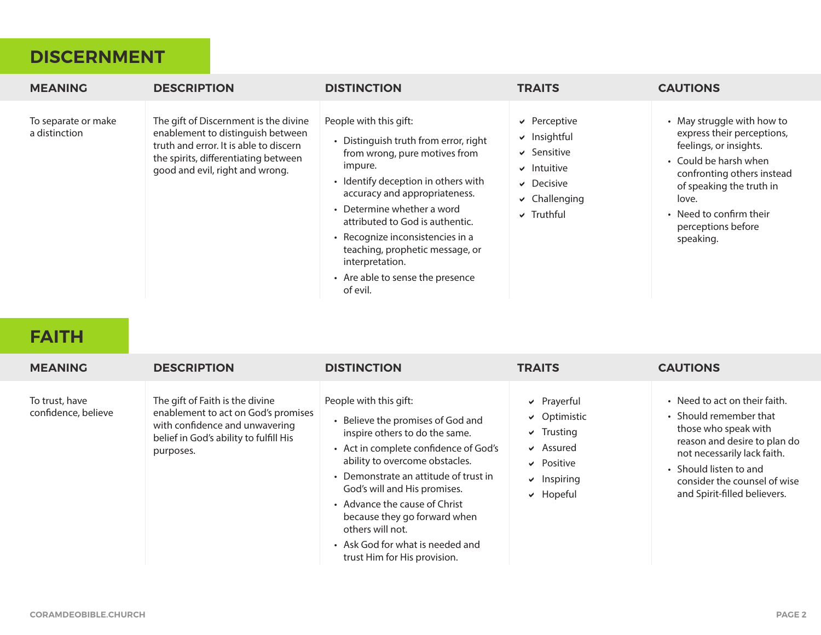#### **DISCERNMENT**

| <b>MEANING</b>                       | <b>DESCRIPTION</b>                                                                                                                                                                              | <b>DISTINCTION</b>                                                                                                                                                                                                                                                                                                                                                                             | <b>TRAITS</b>                                                                                                                              | <b>CAUTIONS</b>                                                                                                                                                                                                                              |
|--------------------------------------|-------------------------------------------------------------------------------------------------------------------------------------------------------------------------------------------------|------------------------------------------------------------------------------------------------------------------------------------------------------------------------------------------------------------------------------------------------------------------------------------------------------------------------------------------------------------------------------------------------|--------------------------------------------------------------------------------------------------------------------------------------------|----------------------------------------------------------------------------------------------------------------------------------------------------------------------------------------------------------------------------------------------|
| To separate or make<br>a distinction | The gift of Discernment is the divine<br>enablement to distinguish between<br>truth and error. It is able to discern<br>the spirits, differentiating between<br>good and evil, right and wrong. | People with this gift:<br>• Distinguish truth from error, right<br>from wrong, pure motives from<br>impure.<br>• Identify deception in others with<br>accuracy and appropriateness.<br>• Determine whether a word<br>attributed to God is authentic.<br>• Recognize inconsistencies in a<br>teaching, prophetic message, or<br>interpretation.<br>• Are able to sense the presence<br>of evil. | $\vee$ Perceptive<br>$\vee$ Insightful<br>$\vee$ Sensitive<br>$\vee$ Intuitive<br>$\vee$ Decisive<br>$\vee$ Challenging<br>$\vee$ Truthful | • May struggle with how to<br>express their perceptions,<br>feelings, or insights.<br>• Could be harsh when<br>confronting others instead<br>of speaking the truth in<br>love.<br>• Need to confirm their<br>perceptions before<br>speaking. |

#### **FAITH**

| <b>MEANING</b>                        | <b>DESCRIPTION</b>                                                                                                                                              | <b>DISTINCTION</b>                                                                                                                                                                                                                                                                                                                                                                                         | <b>TRAITS</b>                                                                                                                                 | <b>CAUTIONS</b>                                                                                                                                                                                                                          |
|---------------------------------------|-----------------------------------------------------------------------------------------------------------------------------------------------------------------|------------------------------------------------------------------------------------------------------------------------------------------------------------------------------------------------------------------------------------------------------------------------------------------------------------------------------------------------------------------------------------------------------------|-----------------------------------------------------------------------------------------------------------------------------------------------|------------------------------------------------------------------------------------------------------------------------------------------------------------------------------------------------------------------------------------------|
| To trust, have<br>confidence, believe | The gift of Faith is the divine<br>enablement to act on God's promises<br>with confidence and unwavering<br>belief in God's ability to fulfill His<br>purposes. | People with this gift:<br>• Believe the promises of God and<br>inspire others to do the same.<br>• Act in complete confidence of God's<br>ability to overcome obstacles.<br>• Demonstrate an attitude of trust in<br>God's will and His promises.<br>• Advance the cause of Christ<br>because they go forward when<br>others will not.<br>• Ask God for what is needed and<br>trust Him for His provision. | $\triangleright$ Prayerful<br>$\vee$ Optimistic<br>$\vee$ Trusting<br>$\vee$ Assured<br>$\vee$ Positive<br>$\vee$ Inspiring<br>$\vee$ Hopeful | • Need to act on their faith.<br>• Should remember that<br>those who speak with<br>reason and desire to plan do<br>not necessarily lack faith.<br>• Should listen to and<br>consider the counsel of wise<br>and Spirit-filled believers. |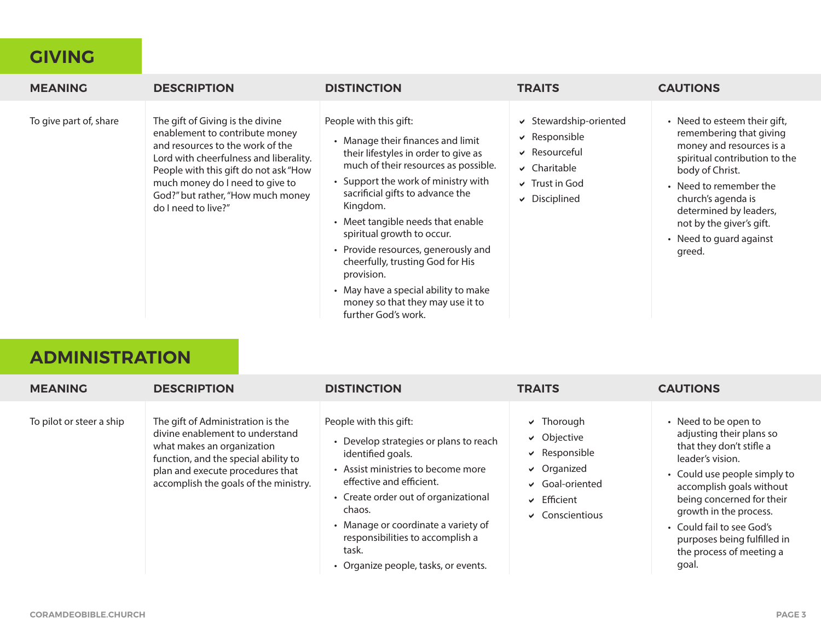#### **GIVING**

| <b>MEANING</b>         | <b>DESCRIPTION</b>                                                                                                                                                                                                                                                                       | <b>DISTINCTION</b>                                                                                                                                                                                                                                                                                                                                                                                                                                                                                | <b>TRAITS</b>                                                                                                                        | <b>CAUTIONS</b>                                                                                                                                                                                                                                                                    |
|------------------------|------------------------------------------------------------------------------------------------------------------------------------------------------------------------------------------------------------------------------------------------------------------------------------------|---------------------------------------------------------------------------------------------------------------------------------------------------------------------------------------------------------------------------------------------------------------------------------------------------------------------------------------------------------------------------------------------------------------------------------------------------------------------------------------------------|--------------------------------------------------------------------------------------------------------------------------------------|------------------------------------------------------------------------------------------------------------------------------------------------------------------------------------------------------------------------------------------------------------------------------------|
| To give part of, share | The gift of Giving is the divine<br>enablement to contribute money<br>and resources to the work of the<br>Lord with cheerfulness and liberality.<br>People with this gift do not ask "How<br>much money do I need to give to<br>God?" but rather, "How much money<br>do I need to live?" | People with this gift:<br>• Manage their finances and limit<br>their lifestyles in order to give as<br>much of their resources as possible.<br>• Support the work of ministry with<br>sacrificial gifts to advance the<br>Kingdom.<br>• Meet tangible needs that enable<br>spiritual growth to occur.<br>• Provide resources, generously and<br>cheerfully, trusting God for His<br>provision.<br>• May have a special ability to make<br>money so that they may use it to<br>further God's work. | ↓ Stewardship-oriented<br>$\vee$ Responsible<br>$\vee$ Resourceful<br>$\vee$ Charitable<br>$\vee$ Trust in God<br>$\vee$ Disciplined | • Need to esteem their gift,<br>remembering that giving<br>money and resources is a<br>spiritual contribution to the<br>body of Christ.<br>• Need to remember the<br>church's agenda is<br>determined by leaders,<br>not by the giver's gift.<br>• Need to guard against<br>greed. |

# **ADMINISTRATION**

| <b>MEANING</b>           | <b>DESCRIPTION</b>                                                                                                                                                                                                      | <b>DISTINCTION</b>                                                                                                                                                                                                                                                                                                                    | <b>TRAITS</b>                                                                                                                                                   | <b>CAUTIONS</b>                                                                                                                                                                                                                                                                                                      |
|--------------------------|-------------------------------------------------------------------------------------------------------------------------------------------------------------------------------------------------------------------------|---------------------------------------------------------------------------------------------------------------------------------------------------------------------------------------------------------------------------------------------------------------------------------------------------------------------------------------|-----------------------------------------------------------------------------------------------------------------------------------------------------------------|----------------------------------------------------------------------------------------------------------------------------------------------------------------------------------------------------------------------------------------------------------------------------------------------------------------------|
| To pilot or steer a ship | The gift of Administration is the<br>divine enablement to understand<br>what makes an organization<br>function, and the special ability to<br>plan and execute procedures that<br>accomplish the goals of the ministry. | People with this gift:<br>• Develop strategies or plans to reach<br>identified goals.<br>• Assist ministries to become more<br>effective and efficient.<br>• Create order out of organizational<br>chaos.<br>• Manage or coordinate a variety of<br>responsibilities to accomplish a<br>task.<br>• Organize people, tasks, or events. | $\vee$ Thorough<br>$\vee$ Objective<br>$\vee$ Responsible<br>$\vee$ Organized<br>$\vee$ Goal-oriented<br>$\sqrt{\phantom{a}}$ Efficient<br>$\vee$ Conscientious | • Need to be open to<br>adjusting their plans so<br>that they don't stifle a<br>leader's vision.<br>• Could use people simply to<br>accomplish goals without<br>being concerned for their<br>growth in the process.<br>• Could fail to see God's<br>purposes being fulfilled in<br>the process of meeting a<br>goal. |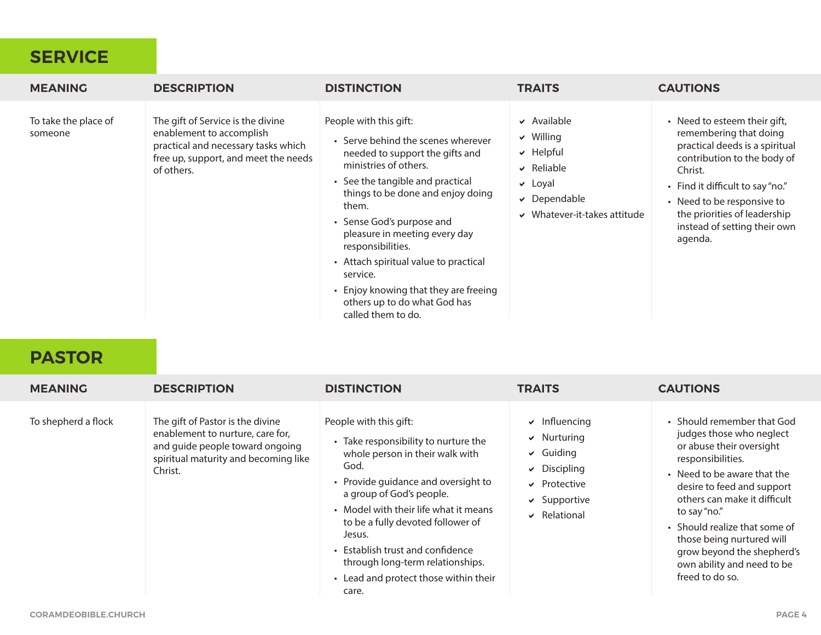#### **SERVICE**

| <b>MEANING</b>                  | <b>DESCRIPTION</b>                                                                                                                                         | <b>DISTINCTION</b>                                                                                                                                                                                                                                                                                                                                                                                                                                | <b>TRAITS</b>                                                                                                                                     | <b>CAUTIONS</b>                                                                                                                                                                                                                                                                 |
|---------------------------------|------------------------------------------------------------------------------------------------------------------------------------------------------------|---------------------------------------------------------------------------------------------------------------------------------------------------------------------------------------------------------------------------------------------------------------------------------------------------------------------------------------------------------------------------------------------------------------------------------------------------|---------------------------------------------------------------------------------------------------------------------------------------------------|---------------------------------------------------------------------------------------------------------------------------------------------------------------------------------------------------------------------------------------------------------------------------------|
| To take the place of<br>someone | The gift of Service is the divine<br>enablement to accomplish<br>practical and necessary tasks which<br>free up, support, and meet the needs<br>of others. | People with this gift:<br>• Serve behind the scenes wherever<br>needed to support the gifts and<br>ministries of others.<br>• See the tangible and practical<br>things to be done and enjoy doing<br>them.<br>• Sense God's purpose and<br>pleasure in meeting every day<br>responsibilities.<br>• Attach spiritual value to practical<br>service.<br>• Enjoy knowing that they are freeing<br>others up to do what God has<br>called them to do. | $\vee$ Available<br>$\vee$ Willing<br>$\vee$ Helpful<br>$\vee$ Reliable<br>$\vee$ Loyal<br>$\vee$ Dependable<br>$\vee$ Whatever-it-takes attitude | • Need to esteem their gift,<br>remembering that doing<br>practical deeds is a spiritual<br>contribution to the body of<br>Christ.<br>• Find it difficult to say "no."<br>• Need to be responsive to<br>the priorities of leadership<br>instead of setting their own<br>agenda. |

#### **PASTOR**

| <b>MEANING</b>      | <b>DESCRIPTION</b>                                                                                                                                         | <b>DISTINCTION</b>                                                                                                                                                                                                                                                                                                                                                                             | <b>TRAITS</b>                                                                                                                                | <b>CAUTIONS</b>                                                                                                                                                                                                                                                                                                                                                   |
|---------------------|------------------------------------------------------------------------------------------------------------------------------------------------------------|------------------------------------------------------------------------------------------------------------------------------------------------------------------------------------------------------------------------------------------------------------------------------------------------------------------------------------------------------------------------------------------------|----------------------------------------------------------------------------------------------------------------------------------------------|-------------------------------------------------------------------------------------------------------------------------------------------------------------------------------------------------------------------------------------------------------------------------------------------------------------------------------------------------------------------|
| To shepherd a flock | The gift of Pastor is the divine<br>enablement to nurture, care for,<br>and guide people toward ongoing<br>spiritual maturity and becoming like<br>Christ. | People with this gift:<br>• Take responsibility to nurture the<br>whole person in their walk with<br>God.<br>• Provide guidance and oversight to<br>a group of God's people.<br>• Model with their life what it means<br>to be a fully devoted follower of<br>Jesus.<br>• Establish trust and confidence<br>through long-term relationships.<br>• Lead and protect those within their<br>care. | $\vee$ Influencing<br>$\vee$ Nurturing<br>$\vee$ Guiding<br>$\vee$ Discipling<br>$\vee$ Protective<br>$\vee$ Supportive<br>$\vee$ Relational | • Should remember that God<br>judges those who neglect<br>or abuse their oversight<br>responsibilities.<br>• Need to be aware that the<br>desire to feed and support<br>others can make it difficult<br>to say "no."<br>• Should realize that some of<br>those being nurtured will<br>grow beyond the shepherd's<br>own ability and need to be<br>freed to do so. |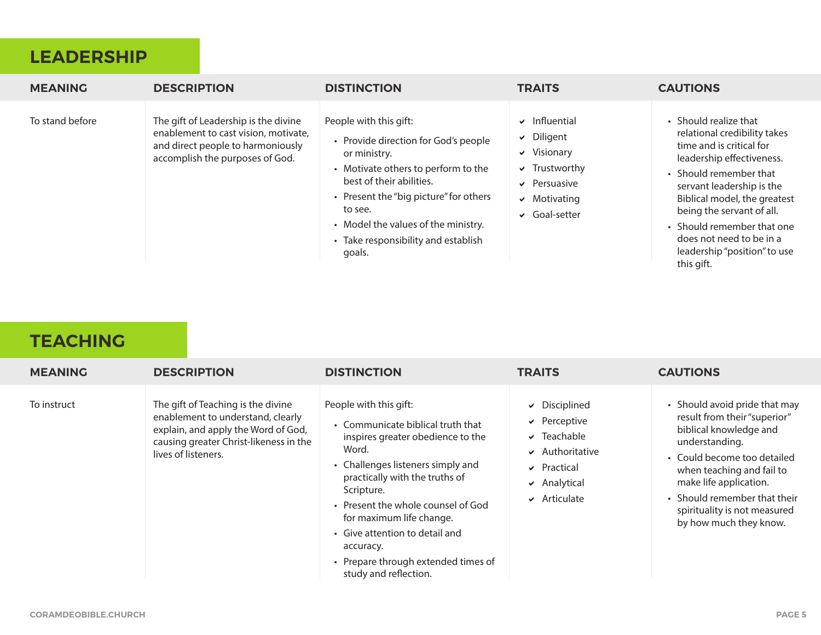#### **LEADERSHIP**

| <b>MEANING</b>  | <b>DESCRIPTION</b>                                                                                                                                   | <b>DISTINCTION</b>                                                                                                                                                                                                                                                                             | <b>TRAITS</b>                                                                                                                                   | <b>CAUTIONS</b>                                                                                                                                                                                                                                                                                                                            |
|-----------------|------------------------------------------------------------------------------------------------------------------------------------------------------|------------------------------------------------------------------------------------------------------------------------------------------------------------------------------------------------------------------------------------------------------------------------------------------------|-------------------------------------------------------------------------------------------------------------------------------------------------|--------------------------------------------------------------------------------------------------------------------------------------------------------------------------------------------------------------------------------------------------------------------------------------------------------------------------------------------|
| To stand before | The gift of Leadership is the divine<br>enablement to cast vision, motivate,<br>and direct people to harmoniously<br>accomplish the purposes of God. | People with this gift:<br>• Provide direction for God's people<br>or ministry.<br>• Motivate others to perform to the<br>best of their abilities.<br>• Present the "big picture" for others<br>to see.<br>• Model the values of the ministry.<br>• Take responsibility and establish<br>goals. | $\vee$ Influential<br>$\vee$ Diligent<br>$\vee$ Visionary<br>$\vee$ Trustworthy<br>$\vee$ Persuasive<br>$\vee$ Motivating<br>$\vee$ Goal-setter | • Should realize that<br>relational credibility takes<br>time and is critical for<br>leadership effectiveness.<br>• Should remember that<br>servant leadership is the<br>Biblical model, the greatest<br>being the servant of all.<br>• Should remember that one<br>does not need to be in a<br>leadership "position" to use<br>this gift. |

# **TEACHING**

| <b>MEANING</b> | <b>DESCRIPTION</b>                                                                                                                                                              | <b>DISTINCTION</b>                                                                                                                                                                                                                                                                                                                                                              | <b>TRAITS</b>                                                                                                                                                  | <b>CAUTIONS</b>                                                                                                                                                                                                                                                                           |
|----------------|---------------------------------------------------------------------------------------------------------------------------------------------------------------------------------|---------------------------------------------------------------------------------------------------------------------------------------------------------------------------------------------------------------------------------------------------------------------------------------------------------------------------------------------------------------------------------|----------------------------------------------------------------------------------------------------------------------------------------------------------------|-------------------------------------------------------------------------------------------------------------------------------------------------------------------------------------------------------------------------------------------------------------------------------------------|
| To instruct    | The gift of Teaching is the divine<br>enablement to understand, clearly<br>explain, and apply the Word of God,<br>causing greater Christ-likeness in the<br>lives of listeners. | People with this gift:<br>• Communicate biblical truth that<br>inspires greater obedience to the<br>Word.<br>• Challenges listeners simply and<br>practically with the truths of<br>Scripture.<br>• Present the whole counsel of God<br>for maximum life change.<br>• Give attention to detail and<br>accuracy.<br>• Prepare through extended times of<br>study and reflection. | $\vee$ Disciplined<br>$\vee$ Perceptive<br>$\sqrt{}$ Teachable<br>$\vee$ Authoritative<br>$\vee$ Practical<br>$\triangleright$ Analytical<br>$\vee$ Articulate | • Should avoid pride that may<br>result from their "superior"<br>biblical knowledge and<br>understanding.<br>• Could become too detailed<br>when teaching and fail to<br>make life application.<br>• Should remember that their<br>spirituality is not measured<br>by how much they know. |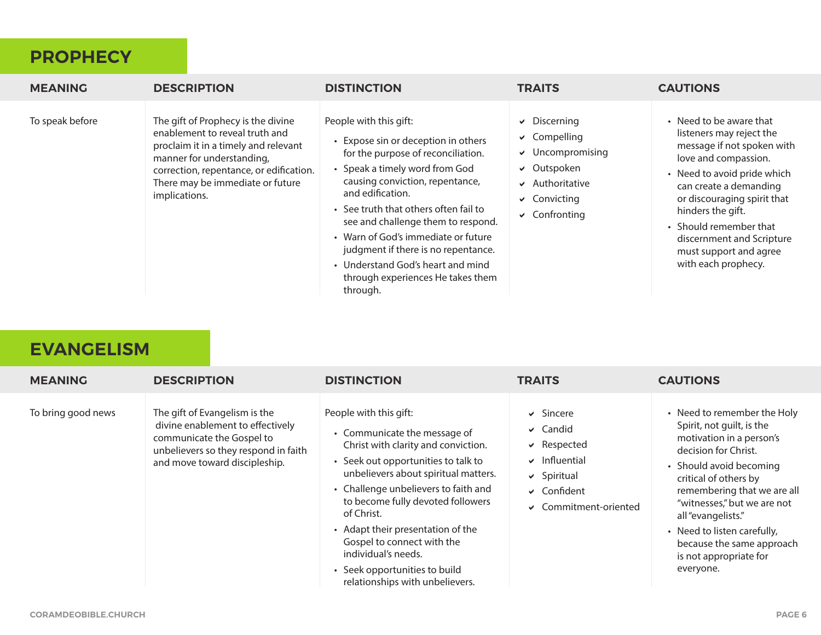#### **PROPHECY**

| <b>MEANING</b>  | <b>DESCRIPTION</b>                                                                                                                                                                                                                        | <b>DISTINCTION</b>                                                                                                                                                                                                                                                                                                                                                                                                                              | <b>TRAITS</b>                                                                                                                                                         | <b>CAUTIONS</b>                                                                                                                                                                                                                                                                                                                |
|-----------------|-------------------------------------------------------------------------------------------------------------------------------------------------------------------------------------------------------------------------------------------|-------------------------------------------------------------------------------------------------------------------------------------------------------------------------------------------------------------------------------------------------------------------------------------------------------------------------------------------------------------------------------------------------------------------------------------------------|-----------------------------------------------------------------------------------------------------------------------------------------------------------------------|--------------------------------------------------------------------------------------------------------------------------------------------------------------------------------------------------------------------------------------------------------------------------------------------------------------------------------|
| To speak before | The gift of Prophecy is the divine<br>enablement to reveal truth and<br>proclaim it in a timely and relevant<br>manner for understanding,<br>correction, repentance, or edification.<br>There may be immediate or future<br>implications. | People with this gift:<br>• Expose sin or deception in others<br>for the purpose of reconciliation.<br>• Speak a timely word from God<br>causing conviction, repentance,<br>and edification.<br>• See truth that others often fail to<br>see and challenge them to respond.<br>• Warn of God's immediate or future<br>judgment if there is no repentance.<br>• Understand God's heart and mind<br>through experiences He takes them<br>through. | $\vee$ Discerning<br>$\vee$ Compelling<br>$\vee$ Uncompromising<br>$\vee$ Outspoken<br>$\blacktriangleright$ Authoritative<br>$\vee$ Convicting<br>$\vee$ Confronting | • Need to be aware that<br>listeners may reject the<br>message if not spoken with<br>love and compassion.<br>• Need to avoid pride which<br>can create a demanding<br>or discouraging spirit that<br>hinders the gift.<br>• Should remember that<br>discernment and Scripture<br>must support and agree<br>with each prophecy. |

#### **EVANGELISM**

| <b>MEANING</b>     | <b>DESCRIPTION</b>                                                                                                                                                      | <b>DISTINCTION</b>                                                                                                                                                                                                                                                                                                                                                                                                                    | <b>TRAITS</b>                                                                                                                              | <b>CAUTIONS</b>                                                                                                                                                                                                                                                                                                                                         |
|--------------------|-------------------------------------------------------------------------------------------------------------------------------------------------------------------------|---------------------------------------------------------------------------------------------------------------------------------------------------------------------------------------------------------------------------------------------------------------------------------------------------------------------------------------------------------------------------------------------------------------------------------------|--------------------------------------------------------------------------------------------------------------------------------------------|---------------------------------------------------------------------------------------------------------------------------------------------------------------------------------------------------------------------------------------------------------------------------------------------------------------------------------------------------------|
| To bring good news | The gift of Evangelism is the<br>divine enablement to effectively<br>communicate the Gospel to<br>unbelievers so they respond in faith<br>and move toward discipleship. | People with this gift:<br>• Communicate the message of<br>Christ with clarity and conviction.<br>• Seek out opportunities to talk to<br>unbelievers about spiritual matters.<br>• Challenge unbelievers to faith and<br>to become fully devoted followers<br>of Christ.<br>• Adapt their presentation of the<br>Gospel to connect with the<br>individual's needs.<br>• Seek opportunities to build<br>relationships with unbelievers. | $\vee$ Sincere<br>$\vee$ Candid<br>$\vee$ Respected<br>$\vee$ Influential<br>$\vee$ Spiritual<br>$\vee$ Confident<br>← Commitment-oriented | • Need to remember the Holy<br>Spirit, not guilt, is the<br>motivation in a person's<br>decision for Christ.<br>• Should avoid becoming<br>critical of others by<br>remembering that we are all<br>"witnesses," but we are not<br>all "evangelists."<br>• Need to listen carefully,<br>because the same approach<br>is not appropriate for<br>everyone. |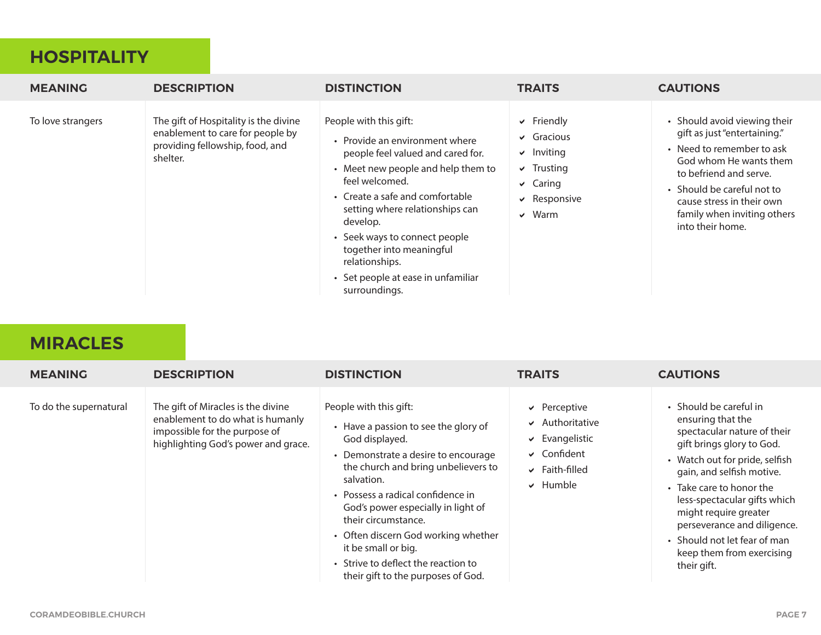#### **HOSPITALITY**

| <b>MEANING</b>    | <b>DESCRIPTION</b>                                                                                                       | <b>DISTINCTION</b>                                                                                                                                                                                                                                                                                                                                                            | <b>TRAITS</b>                                                                                                                           | <b>CAUTIONS</b>                                                                                                                                                                                                                                             |
|-------------------|--------------------------------------------------------------------------------------------------------------------------|-------------------------------------------------------------------------------------------------------------------------------------------------------------------------------------------------------------------------------------------------------------------------------------------------------------------------------------------------------------------------------|-----------------------------------------------------------------------------------------------------------------------------------------|-------------------------------------------------------------------------------------------------------------------------------------------------------------------------------------------------------------------------------------------------------------|
| To love strangers | The gift of Hospitality is the divine<br>enablement to care for people by<br>providing fellowship, food, and<br>shelter. | People with this gift:<br>• Provide an environment where<br>people feel valued and cared for.<br>• Meet new people and help them to<br>feel welcomed.<br>• Create a safe and comfortable<br>setting where relationships can<br>develop.<br>• Seek ways to connect people<br>together into meaningful<br>relationships.<br>• Set people at ease in unfamiliar<br>surroundings. | $\triangleright$ Friendly<br>$\vee$ Gracious<br>$\vee$ Inviting<br>$\vee$ Trusting<br>$\vee$ Caring<br>$\vee$ Responsive<br>$\vee$ Warm | • Should avoid viewing their<br>gift as just "entertaining."<br>• Need to remember to ask<br>God whom He wants them<br>to befriend and serve.<br>• Should be careful not to<br>cause stress in their own<br>family when inviting others<br>into their home. |

#### **MIRACLES**

| <b>MEANING</b>         | <b>DESCRIPTION</b>                                                                                                                             | <b>DISTINCTION</b>                                                                                                                                                                                                                                                                                                                                                                                                        | <b>TRAITS</b>                                                                                                                          | <b>CAUTIONS</b>                                                                                                                                                                                                                                                                                                                                                        |
|------------------------|------------------------------------------------------------------------------------------------------------------------------------------------|---------------------------------------------------------------------------------------------------------------------------------------------------------------------------------------------------------------------------------------------------------------------------------------------------------------------------------------------------------------------------------------------------------------------------|----------------------------------------------------------------------------------------------------------------------------------------|------------------------------------------------------------------------------------------------------------------------------------------------------------------------------------------------------------------------------------------------------------------------------------------------------------------------------------------------------------------------|
| To do the supernatural | The gift of Miracles is the divine<br>enablement to do what is humanly<br>impossible for the purpose of<br>highlighting God's power and grace. | People with this gift:<br>• Have a passion to see the glory of<br>God displayed.<br>• Demonstrate a desire to encourage<br>the church and bring unbelievers to<br>salvation.<br>• Possess a radical confidence in<br>God's power especially in light of<br>their circumstance.<br>• Often discern God working whether<br>it be small or big.<br>• Strive to deflect the reaction to<br>their gift to the purposes of God. | $\vee$ Perceptive<br>$\vee$ Authoritative<br>$\triangleright$ Evangelistic<br>$\vee$ Confident<br>$\vee$ Faith-filled<br>$\vee$ Humble | • Should be careful in<br>ensuring that the<br>spectacular nature of their<br>gift brings glory to God.<br>• Watch out for pride, selfish<br>gain, and selfish motive.<br>• Take care to honor the<br>less-spectacular gifts which<br>might require greater<br>perseverance and diligence.<br>• Should not let fear of man<br>keep them from exercising<br>their gift. |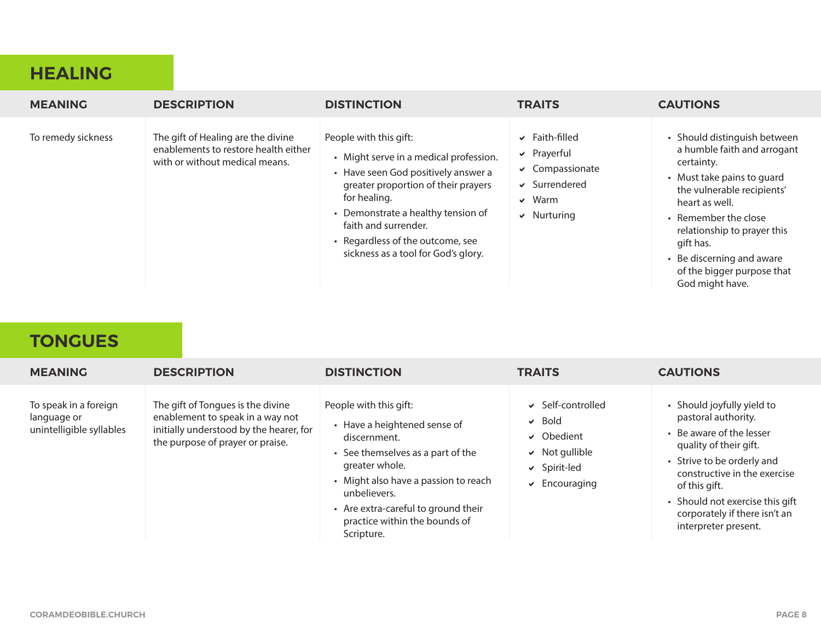#### **HEALING**

| <b>MEANING</b>     | <b>DESCRIPTION</b>                                                                                           | <b>DISTINCTION</b>                                                                                                                                                                                                                                                                                      | <b>TRAITS</b>                                                                                                            | <b>CAUTIONS</b>                                                                                                                                                                                                                                                                                           |
|--------------------|--------------------------------------------------------------------------------------------------------------|---------------------------------------------------------------------------------------------------------------------------------------------------------------------------------------------------------------------------------------------------------------------------------------------------------|--------------------------------------------------------------------------------------------------------------------------|-----------------------------------------------------------------------------------------------------------------------------------------------------------------------------------------------------------------------------------------------------------------------------------------------------------|
| To remedy sickness | The gift of Healing are the divine<br>enablements to restore health either<br>with or without medical means. | People with this gift:<br>• Might serve in a medical profession.<br>• Have seen God positively answer a<br>greater proportion of their prayers<br>for healing.<br>• Demonstrate a healthy tension of<br>faith and surrender.<br>• Regardless of the outcome, see<br>sickness as a tool for God's glory. | $\vee$ Faith-filled<br>$\vee$ Prayerful<br>$\vee$ Compassionate<br>$\vee$ Surrendered<br>$\vee$ Warm<br>$\vee$ Nurturing | • Should distinguish between<br>a humble faith and arrogant<br>certainty.<br>• Must take pains to quard<br>the vulnerable recipients'<br>heart as well.<br>• Remember the close<br>relationship to prayer this<br>gift has.<br>• Be discerning and aware<br>of the bigger purpose that<br>God might have. |

# **TONGUES**

| <b>MEANING</b>                                                   | <b>DESCRIPTION</b>                                                                                                                                   | <b>DISTINCTION</b>                                                                                                                                                                                                                                                          | <b>TRAITS</b>                                                                                                                 | <b>CAUTIONS</b>                                                                                                                                                                                                                                                                    |
|------------------------------------------------------------------|------------------------------------------------------------------------------------------------------------------------------------------------------|-----------------------------------------------------------------------------------------------------------------------------------------------------------------------------------------------------------------------------------------------------------------------------|-------------------------------------------------------------------------------------------------------------------------------|------------------------------------------------------------------------------------------------------------------------------------------------------------------------------------------------------------------------------------------------------------------------------------|
| To speak in a foreign<br>language or<br>unintelligible syllables | The gift of Tongues is the divine<br>enablement to speak in a way not<br>initially understood by the hearer, for<br>the purpose of prayer or praise. | People with this gift:<br>• Have a heightened sense of<br>discernment.<br>• See themselves as a part of the<br>greater whole.<br>• Might also have a passion to reach<br>unbelievers.<br>• Are extra-careful to ground their<br>practice within the bounds of<br>Scripture. | Self-controlled<br>$\vee$ Bold<br>$\vee$ Obedient<br>$\vee$ Not gullible<br>$\vee$ Spirit-led<br>$\triangleright$ Encouraging | • Should joyfully yield to<br>pastoral authority.<br>• Be aware of the lesser<br>quality of their gift.<br>• Strive to be orderly and<br>constructive in the exercise<br>of this gift.<br>• Should not exercise this gift<br>corporately if there isn't an<br>interpreter present. |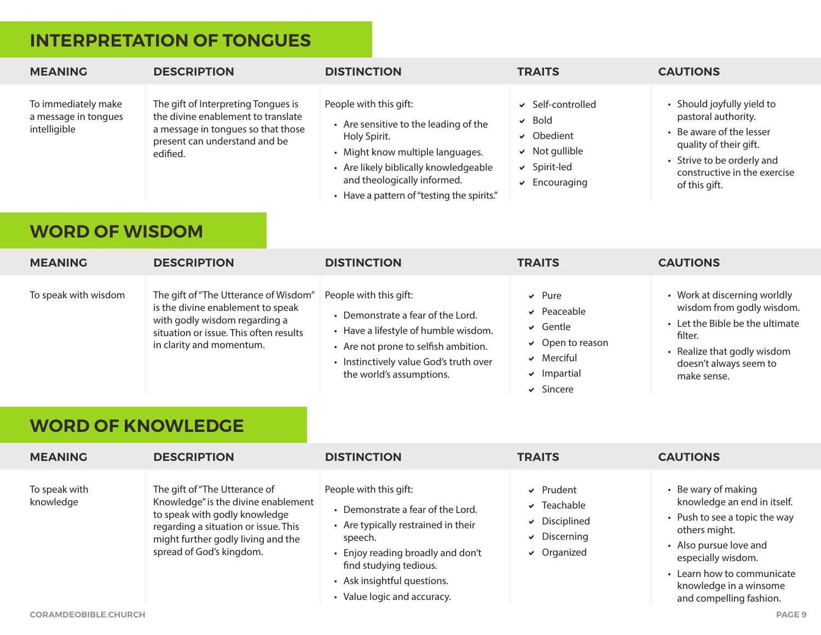# **INTERPRETATION OF TONGUES**

| <b>MEANING</b>                                              | <b>DESCRIPTION</b>                                                                                                                                                                                              | <b>DISTINCTION</b>                                                                                                                                                                                                                         | <b>TRAITS</b>                                                                                                                    | <b>CAUTIONS</b>                                                                                                                                                                                                                                   |
|-------------------------------------------------------------|-----------------------------------------------------------------------------------------------------------------------------------------------------------------------------------------------------------------|--------------------------------------------------------------------------------------------------------------------------------------------------------------------------------------------------------------------------------------------|----------------------------------------------------------------------------------------------------------------------------------|---------------------------------------------------------------------------------------------------------------------------------------------------------------------------------------------------------------------------------------------------|
| To immediately make<br>a message in tongues<br>intelligible | The gift of Interpreting Tongues is<br>the divine enablement to translate<br>a message in tongues so that those<br>present can understand and be<br>edified.                                                    | People with this gift:<br>• Are sensitive to the leading of the<br>Holy Spirit.<br>• Might know multiple languages.<br>• Are likely biblically knowledgeable<br>and theologically informed.<br>• Have a pattern of "testing the spirits."  | Self-controlled<br>✓<br><b>Bold</b><br>✔<br>↓ Obedient<br>Not gullible<br>✔<br>↓ Spirit-led<br>Encouraging<br>✔                  | • Should joyfully yield to<br>pastoral authority.<br>• Be aware of the lesser<br>quality of their gift.<br>• Strive to be orderly and<br>constructive in the exercise<br>of this gift.                                                            |
| <b>WORD OF WISDOM</b>                                       |                                                                                                                                                                                                                 |                                                                                                                                                                                                                                            |                                                                                                                                  |                                                                                                                                                                                                                                                   |
| <b>MEANING</b>                                              | <b>DESCRIPTION</b>                                                                                                                                                                                              | <b>DISTINCTION</b>                                                                                                                                                                                                                         | <b>TRAITS</b>                                                                                                                    | <b>CAUTIONS</b>                                                                                                                                                                                                                                   |
| To speak with wisdom<br><b>WORD OF KNOWLEDGE</b>            | The gift of "The Utterance of Wisdom"<br>is the divine enablement to speak<br>with godly wisdom regarding a<br>situation or issue. This often results<br>in clarity and momentum.                               | People with this gift:<br>• Demonstrate a fear of the Lord.<br>• Have a lifestyle of humble wisdom.<br>• Are not prone to selfish ambition.<br>• Instinctively value God's truth over<br>the world's assumptions.                          | $\vee$ Pure<br>$\vee$ Peaceable<br>Gentle<br>✓<br>$\vee$ Open to reason<br>$\vee$ Merciful<br>$\vee$ Impartial<br>$\vee$ Sincere | • Work at discerning worldly<br>wisdom from godly wisdom.<br>• Let the Bible be the ultimate<br>filter.<br>• Realize that godly wisdom<br>doesn't always seem to<br>make sense.                                                                   |
| <b>MEANING</b>                                              | <b>DESCRIPTION</b>                                                                                                                                                                                              | <b>DISTINCTION</b>                                                                                                                                                                                                                         | <b>TRAITS</b>                                                                                                                    | <b>CAUTIONS</b>                                                                                                                                                                                                                                   |
| To speak with<br>knowledge<br><b>CORAMDEOBIBLE.CHURCH</b>   | The gift of "The Utterance of<br>Knowledge" is the divine enablement<br>to speak with godly knowledge<br>regarding a situation or issue. This<br>might further godly living and the<br>spread of God's kingdom. | People with this gift:<br>• Demonstrate a fear of the Lord.<br>• Are typically restrained in their<br>speech.<br>• Enjoy reading broadly and don't<br>find studying tedious.<br>• Ask insightful questions.<br>• Value logic and accuracy. | $\vee$ Prudent<br>$\triangledown$ Teachable<br>$\vee$ Disciplined<br>$\vee$ Discerning<br>$\vee$ Organized                       | • Be wary of making<br>knowledge an end in itself.<br>• Push to see a topic the way<br>others might.<br>• Also pursue love and<br>especially wisdom.<br>• Learn how to communicate<br>knowledge in a winsome<br>and compelling fashion.<br>PAGE 9 |